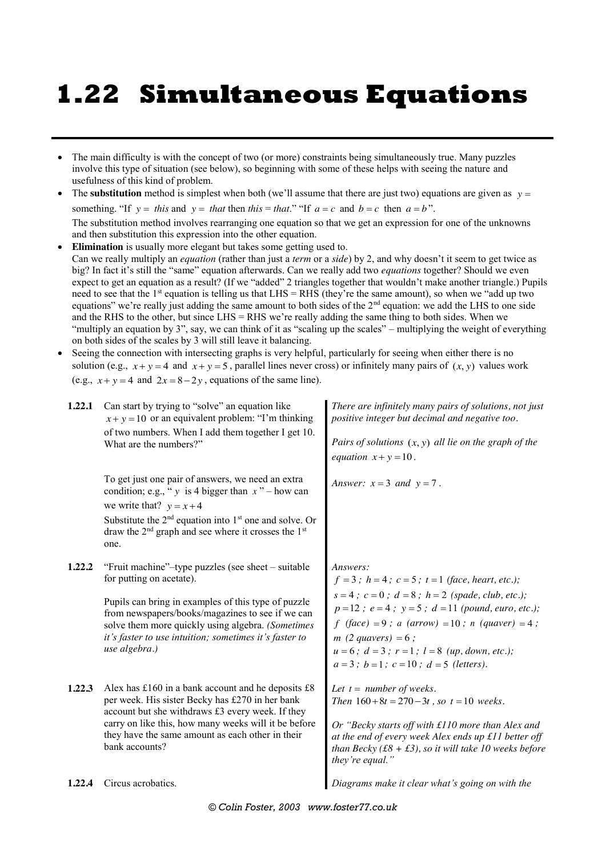## **1.22 Simultaneous Equations**

- The main difficulty is with the concept of two (or more) constraints being simultaneously true. Many puzzles involve this type of situation (see below), so beginning with some of these helps with seeing the nature and usefulness of this kind of problem.
- The **substitution** method is simplest when both (we'll assume that there are just two) equations are given as  $y =$ something. "If  $y = this$  and  $y = that$  then *this* = *that*." "If  $a = c$  and  $b = c$  then  $a = b$ ". The substitution method involves rearranging one equation so that we get an expression for one of the unknowns
- and then substitution this expression into the other equation. **Elimination** is usually more elegant but takes some getting used to. Can we really multiply an *equation* (rather than just a *term* or a *side*) by 2, and why doesn't it seem to get twice as big? In fact it's still the "same" equation afterwards. Can we really add two *equations* together? Should we even expect to get an equation as a result? (If we "added" 2 triangles together that wouldn't make another triangle.) Pupils need to see that the 1<sup>st</sup> equation is telling us that LHS = RHS (they're the same amount), so when we "add up two equations" we're really just adding the same amount to both sides of the 2<sup>nd</sup> equation: we add the LHS to one side and the RHS to the other, but since LHS = RHS we're really adding the same thing to both sides. When we "multiply an equation by 3", say, we can think of it as "scaling up the scales" – multiplying the weight of everything on both sides of the scales by 3 will still leave it balancing.
- Seeing the connection with intersecting graphs is very helpful, particularly for seeing when either there is no solution (e.g.,  $x + y = 4$  and  $x + y = 5$ , parallel lines never cross) or infinitely many pairs of  $(x, y)$  values work (e.g.,  $x + y = 4$  and  $2x = 8-2y$ , equations of the same line).

| 1.22.1 | Can start by trying to "solve" an equation like<br>$x + y = 10$ or an equivalent problem: "I'm thinking<br>of two numbers. When I add them together I get 10.<br>What are the numbers?"                                                                                                                                   | There are infinitely many pairs of solutions, not just<br>positive integer but decimal and negative too.<br>Pairs of solutions $(x, y)$ all lie on the graph of the<br>equation $x + y = 10$ .                                                                                                                                                                                             |
|--------|---------------------------------------------------------------------------------------------------------------------------------------------------------------------------------------------------------------------------------------------------------------------------------------------------------------------------|--------------------------------------------------------------------------------------------------------------------------------------------------------------------------------------------------------------------------------------------------------------------------------------------------------------------------------------------------------------------------------------------|
|        | To get just one pair of answers, we need an extra<br>condition; e.g., " $y$ is 4 bigger than $x$ " – how can<br>we write that? $y = x + 4$<br>Substitute the $2nd$ equation into $1st$ one and solve. Or<br>draw the 2 <sup>nd</sup> graph and see where it crosses the 1 <sup>st</sup><br>one.                           | Answer: $x = 3$ and $y = 7$ .                                                                                                                                                                                                                                                                                                                                                              |
| 1.22.2 | "Fruit machine"-type puzzles (see sheet - suitable<br>for putting on acetate).<br>Pupils can bring in examples of this type of puzzle<br>from newspapers/books/magazines to see if we can<br>solve them more quickly using algebra. (Sometimes<br>it's faster to use intuition; sometimes it's faster to<br>use algebra.) | Answers:<br>$f = 3$ ; $h = 4$ ; $c = 5$ ; $t = 1$ (face, heart, etc.);<br>$s = 4$ ; $c = 0$ ; $d = 8$ ; $h = 2$ (spade, club, etc.);<br>$p=12$ ; $e=4$ ; $y=5$ ; $d=11$ (pound, euro, etc.);<br>$f$ (face) = 9; a (arrow) = 10; n (quaver) = 4;<br>$m(2$ quavers $) = 6$ ;<br>$u = 6$ ; $d = 3$ ; $r = 1$ ; $l = 8$ (up, down, etc.);<br>$a = 3$ ; $b = 1$ ; $c = 10$ ; $d = 5$ (letters). |
| 1.22.3 | Alex has $£160$ in a bank account and he deposits $£8$<br>per week. His sister Becky has £270 in her bank<br>account but she withdraws £3 every week. If they<br>carry on like this, how many weeks will it be before<br>they have the same amount as each other in their<br>bank accounts?                               | Let $t = number of weeks$ .<br>Then $160+8t = 270-3t$ , so $t = 10$ weeks.<br>Or "Becky starts off with £110 more than Alex and<br>at the end of every week Alex ends up £11 better off<br>than Becky (£8 + £3), so it will take 10 weeks before<br>they're equal."                                                                                                                        |
| 1.22.4 | Circus acrobatics.                                                                                                                                                                                                                                                                                                        | Diagrams make it clear what's going on with the                                                                                                                                                                                                                                                                                                                                            |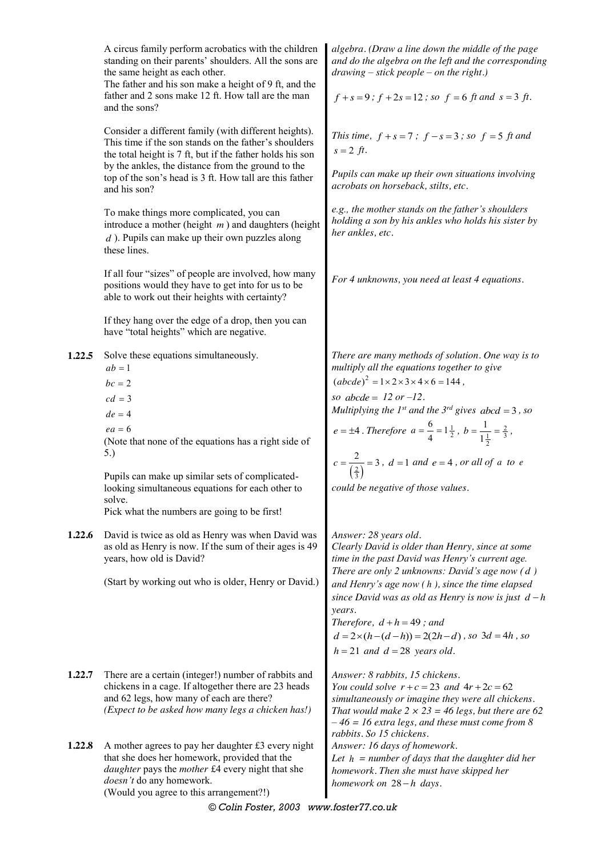|                  | A circus family perform acrobatics with the children<br>standing on their parents' shoulders. All the sons are<br>the same height as each other.<br>The father and his son make a height of 9 ft, and the<br>father and 2 sons make 12 ft. How tall are the man<br>and the sons?                                                                                                                                                                                           | algebra. (Draw a line down the middle of the page<br>and do the algebra on the left and the corresponding<br>$drawing - stick people - on the right.)$<br>$f + s = 9$ ; $f + 2s = 12$ ; so $f = 6$ ft and $s = 3$ ft.                                                                                                                                                                                                                                                                                                                                                                                                                   |
|------------------|----------------------------------------------------------------------------------------------------------------------------------------------------------------------------------------------------------------------------------------------------------------------------------------------------------------------------------------------------------------------------------------------------------------------------------------------------------------------------|-----------------------------------------------------------------------------------------------------------------------------------------------------------------------------------------------------------------------------------------------------------------------------------------------------------------------------------------------------------------------------------------------------------------------------------------------------------------------------------------------------------------------------------------------------------------------------------------------------------------------------------------|
|                  | Consider a different family (with different heights).<br>This time if the son stands on the father's shoulders<br>the total height is 7 ft, but if the father holds his son<br>by the ankles, the distance from the ground to the<br>top of the son's head is 3 ft. How tall are this father<br>and his son?                                                                                                                                                               | This time, $f + s = 7$ ; $f - s = 3$ ; so $f = 5$ ft and<br>$s = 2 ft$ .<br>Pupils can make up their own situations involving<br>acrobats on horseback, stilts, etc.                                                                                                                                                                                                                                                                                                                                                                                                                                                                    |
|                  | To make things more complicated, you can<br>introduce a mother (height $m$ ) and daughters (height<br>$d$ ). Pupils can make up their own puzzles along<br>these lines.                                                                                                                                                                                                                                                                                                    | e.g., the mother stands on the father's shoulders<br>holding a son by his ankles who holds his sister by<br>her ankles, etc.                                                                                                                                                                                                                                                                                                                                                                                                                                                                                                            |
|                  | If all four "sizes" of people are involved, how many<br>positions would they have to get into for us to be<br>able to work out their heights with certainty?                                                                                                                                                                                                                                                                                                               | For 4 unknowns, you need at least 4 equations.                                                                                                                                                                                                                                                                                                                                                                                                                                                                                                                                                                                          |
|                  | If they hang over the edge of a drop, then you can<br>have "total heights" which are negative.                                                                                                                                                                                                                                                                                                                                                                             |                                                                                                                                                                                                                                                                                                                                                                                                                                                                                                                                                                                                                                         |
| 1.22.5<br>1.22.6 | Solve these equations simultaneously.<br>$ab=1$<br>$bc = 2$<br>$cd = 3$<br>$de = 4$<br>$ea = 6$<br>(Note that none of the equations has a right side of<br>5.)<br>Pupils can make up similar sets of complicated-<br>looking simultaneous equations for each other to<br>solve.<br>Pick what the numbers are going to be first!<br>David is twice as old as Henry was when David was<br>as old as Henry is now. If the sum of their ages is 49<br>years, how old is David? | There are many methods of solution. One way is to<br>multiply all the equations together to give<br>$(abcde)^2 = 1 \times 2 \times 3 \times 4 \times 6 = 144$ ,<br>so $abcde = 12$ or $-12$ .<br>Multiplying the $1^{st}$ and the $3^{rd}$ gives abcd = 3, so<br>$e = \pm 4$ . Therefore $a = \frac{6}{4} = 1\frac{1}{2}$ , $b = \frac{1}{1\frac{1}{2}} = \frac{2}{3}$ ,<br>$c = \frac{2}{\left(\frac{2}{3}\right)} = 3$ , $d = 1$ and $e = 4$ , or all of a to e<br>could be negative of those values.<br>Answer: 28 years old.<br>Clearly David is older than Henry, since at some<br>time in the past David was Henry's current age. |
|                  | (Start by working out who is older, Henry or David.)                                                                                                                                                                                                                                                                                                                                                                                                                       | There are only $2$ unknowns: David's age now $(d)$<br>and Henry's age now $(h)$ , since the time elapsed<br>since David was as old as Henry is now is just $d-h$<br>years.<br>Therefore, $d + h = 49$ ; and<br>$d = 2 \times (h - (d - h)) = 2(2h - d)$ , so $3d = 4h$ , so<br>$h = 21$ and $d = 28$ years old.                                                                                                                                                                                                                                                                                                                         |
| 1.22.7           | There are a certain (integer!) number of rabbits and<br>chickens in a cage. If altogether there are 23 heads<br>and 62 legs, how many of each are there?<br>(Expect to be asked how many legs a chicken has!)                                                                                                                                                                                                                                                              | Answer: 8 rabbits, 15 chickens.<br>You could solve $r + c = 23$ and $4r + 2c = 62$<br>simultaneously or imagine they were all chickens.<br>That would make $2 \times 23 = 46$ legs, but there are 62<br>$-46 = 16$ extra legs, and these must come from 8<br>rabbits. So 15 chickens.                                                                                                                                                                                                                                                                                                                                                   |
| 1.22.8           | A mother agrees to pay her daughter £3 every night<br>that she does her homework, provided that the<br>daughter pays the mother £4 every night that she<br>doesn't do any homework.<br>(Would you agree to this arrangement?!)                                                                                                                                                                                                                                             | Answer: 16 days of homework.<br>Let $h = number of days that the daughter did her$<br>homework. Then she must have skipped her<br>homework on $28-h$ days.                                                                                                                                                                                                                                                                                                                                                                                                                                                                              |

*© Colin Foster, 2003 www.foster77.co.uk*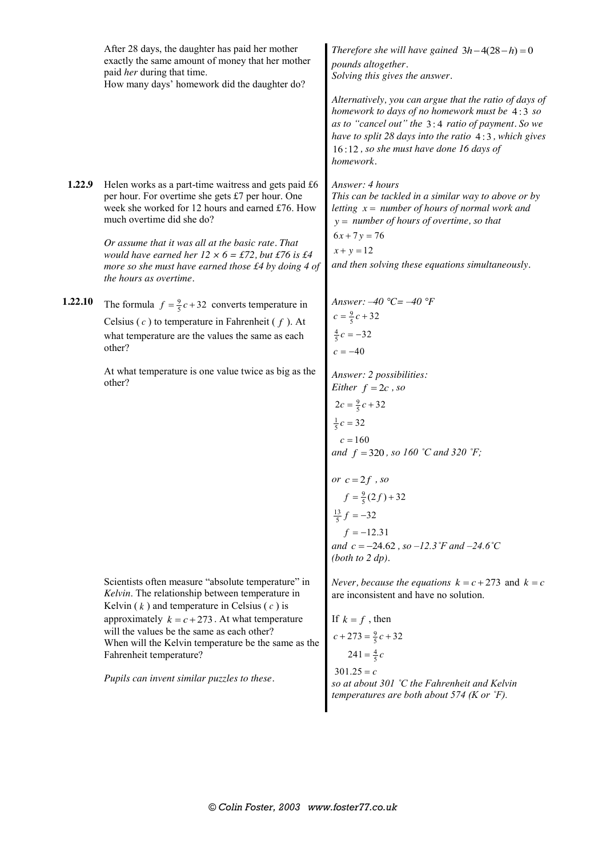|         | After 28 days, the daughter has paid her mother<br>exactly the same amount of money that her mother<br>paid her during that time.<br>How many days' homework did the daughter do?                                                                                                                                                                                                                                                                         | Therefore she will have gained $3h-4(28-h)=0$<br>pounds altogether.<br>Solving this gives the answer.<br>Alternatively, you can argue that the ratio of days of<br>homework to days of no homework must be 4:3 so<br>as to "cancel out" the 3:4 ratio of payment. So we<br>have to split 28 days into the ratio 4:3, which gives<br>16:12, so she must have done 16 days of<br>homework. |
|---------|-----------------------------------------------------------------------------------------------------------------------------------------------------------------------------------------------------------------------------------------------------------------------------------------------------------------------------------------------------------------------------------------------------------------------------------------------------------|------------------------------------------------------------------------------------------------------------------------------------------------------------------------------------------------------------------------------------------------------------------------------------------------------------------------------------------------------------------------------------------|
| 1.22.9  | Helen works as a part-time waitress and gets paid £6<br>per hour. For overtime she gets £7 per hour. One<br>week she worked for 12 hours and earned £76. How<br>much overtime did she do?<br>Or assume that it was all at the basic rate. That<br>would have earned her $12 \times 6 = \text{\textsterling}72$ , but $\text{\textsterling}76$ is $\text{\textsterling}4$<br>more so she must have earned those £4 by doing 4 of<br>the hours as overtime. | Answer: 4 hours<br>This can be tackled in a similar way to above or by<br>letting $x = number of hours of normal work and$<br>$y =$ number of hours of overtime, so that<br>$6x + 7y = 76$<br>$x + y = 12$<br>and then solving these equations simultaneously.                                                                                                                           |
| 1.22.10 | The formula $f = \frac{9}{5}c + 32$ converts temperature in<br>Celsius $(c)$ to temperature in Fahrenheit $(f)$ . At<br>what temperature are the values the same as each<br>other?<br>At what temperature is one value twice as big as the<br>other?                                                                                                                                                                                                      | Answer: $-40$ °C = $-40$ °F<br>$c = \frac{9}{5}c + 32$<br>$\frac{4}{5}c = -32$<br>$c = -40$<br>Answer: 2 possibilities:<br>Either $f = 2c$ , so<br>$2c = \frac{9}{5}c + 32$<br>$\frac{1}{5}c = 32$<br>and $f = 320$ , so 160 °C and 320 °F;<br>or $c = 2f$ , so<br>$f = \frac{9}{5}(2f) + 32$<br>and $c = -24.62$ , so $-12.3$ °F and $-24.6$ °C<br>(both to $2 dp$ ).                   |
|         | Scientists often measure "absolute temperature" in<br>Kelvin. The relationship between temperature in<br>Kelvin $(k)$ and temperature in Celsius $(c)$ is<br>approximately $k = c + 273$ . At what temperature<br>will the values be the same as each other?<br>When will the Kelvin temperature be the same as the<br>Fahrenheit temperature?<br>Pupils can invent similar puzzles to these.                                                             | <i>Never, because the equations</i> $k = c + 273$ and $k = c$<br>are inconsistent and have no solution.<br>If $k = f$ , then<br>$c + 273 = \frac{9}{5}c + 32$<br>$241 = \frac{4}{5}c$<br>$301.25 = c$<br>so at about 301 °C the Fahrenheit and Kelvin<br>temperatures are both about 574 (K or $\degree$ F).                                                                             |